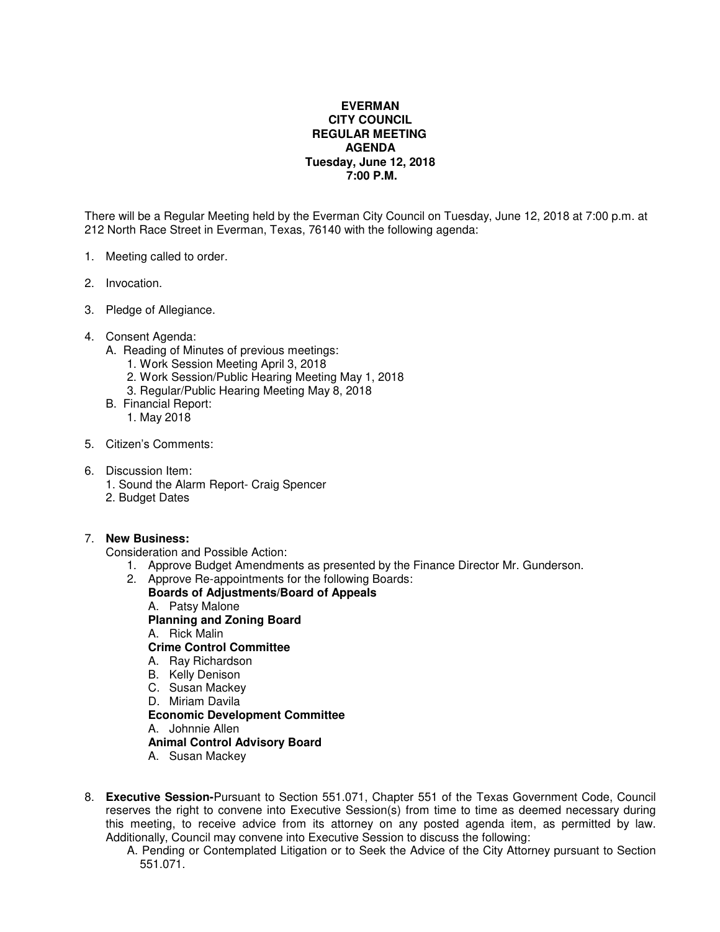## **EVERMAN CITY COUNCIL REGULAR MEETING AGENDA Tuesday, June 12, 2018 7:00 P.M.**

There will be a Regular Meeting held by the Everman City Council on Tuesday, June 12, 2018 at 7:00 p.m. at 212 North Race Street in Everman, Texas, 76140 with the following agenda:

- 1. Meeting called to order.
- 2. Invocation.
- 3. Pledge of Allegiance.
- 4. Consent Agenda:
	- A. Reading of Minutes of previous meetings:
		- 1. Work Session Meeting April 3, 2018
		- 2. Work Session/Public Hearing Meeting May 1, 2018
		- 3. Regular/Public Hearing Meeting May 8, 2018
	- B. Financial Report:
		- 1. May 2018
- 5. Citizen's Comments:
- 6. Discussion Item:
	- 1. Sound the Alarm Report- Craig Spencer
	- 2. Budget Dates

## 7. **New Business:**

Consideration and Possible Action:

- 1. Approve Budget Amendments as presented by the Finance Director Mr. Gunderson.
- 2. Approve Re-appointments for the following Boards: **Boards of Adjustments/Board of Appeals**  A. Patsy Malone **Planning and Zoning Board** A. Rick Malin **Crime Control Committee**  A. Ray Richardson B. Kelly Denison C. Susan Mackey D. Miriam Davila **Economic Development Committee** A. Johnnie Allen **Animal Control Advisory Board** 
	- A. Susan Mackey
- 8. **Executive Session-**Pursuant to Section 551.071, Chapter 551 of the Texas Government Code, Council reserves the right to convene into Executive Session(s) from time to time as deemed necessary during this meeting, to receive advice from its attorney on any posted agenda item, as permitted by law. Additionally, Council may convene into Executive Session to discuss the following:
	- A. Pending or Contemplated Litigation or to Seek the Advice of the City Attorney pursuant to Section 551.071.